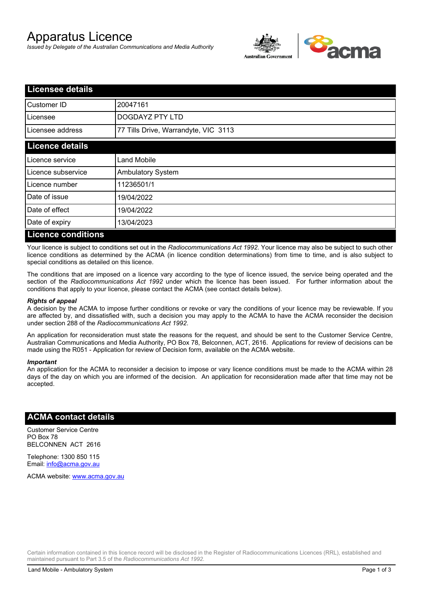# Apparatus Licence

*Issued by Delegate of the Australian Communications and Media Authority*



| <b>Licensee details</b>   |                                      |
|---------------------------|--------------------------------------|
| Customer ID               | 20047161                             |
| Licensee                  | <b>DOGDAYZ PTY LTD</b>               |
| Licensee address          | 77 Tills Drive, Warrandyte, VIC 3113 |
| <b>Licence details</b>    |                                      |
| Licence service           | <b>Land Mobile</b>                   |
| Licence subservice        | <b>Ambulatory System</b>             |
| Licence number            | 11236501/1                           |
| Date of issue             | 19/04/2022                           |
| Date of effect            | 19/04/2022                           |
| Date of expiry            | 13/04/2023                           |
| <b>Licence conditions</b> |                                      |

Your licence is subject to conditions set out in the *Radiocommunications Act 1992*. Your licence may also be subject to such other licence conditions as determined by the ACMA (in licence condition determinations) from time to time, and is also subject to special conditions as detailed on this licence.

The conditions that are imposed on a licence vary according to the type of licence issued, the service being operated and the section of the *Radiocommunications Act 1992* under which the licence has been issued. For further information about the conditions that apply to your licence, please contact the ACMA (see contact details below).

### *Rights of appeal*

A decision by the ACMA to impose further conditions or revoke or vary the conditions of your licence may be reviewable. If you are affected by, and dissatisfied with, such a decision you may apply to the ACMA to have the ACMA reconsider the decision under section 288 of the *Radiocommunications Act 1992*.

An application for reconsideration must state the reasons for the request, and should be sent to the Customer Service Centre, Australian Communications and Media Authority, PO Box 78, Belconnen, ACT, 2616. Applications for review of decisions can be made using the R051 - Application for review of Decision form, available on the ACMA website.

#### *Important*

An application for the ACMA to reconsider a decision to impose or vary licence conditions must be made to the ACMA within 28 days of the day on which you are informed of the decision. An application for reconsideration made after that time may not be accepted.

## **ACMA contact details**

Customer Service Centre PO Box 78 BELCONNEN ACT 2616

Telephone: 1300 850 115 Email: info@acma.gov.au

ACMA website: www.acma.gov.au

Certain information contained in this licence record will be disclosed in the Register of Radiocommunications Licences (RRL), established and maintained pursuant to Part 3.5 of the *Radiocommunications Act 1992.*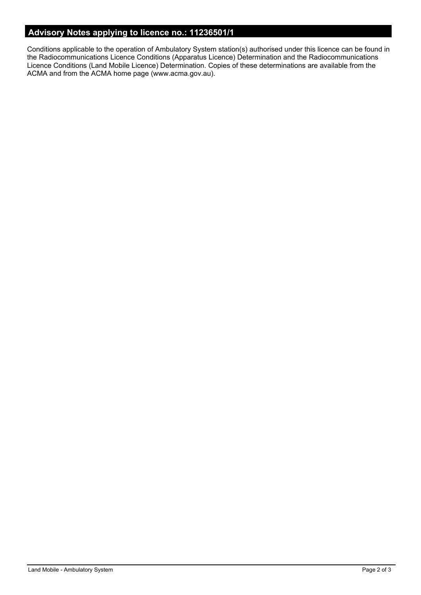# **Advisory Notes applying to licence no.: 11236501/1**

Conditions applicable to the operation of Ambulatory System station(s) authorised under this licence can be found in the Radiocommunications Licence Conditions (Apparatus Licence) Determination and the Radiocommunications Licence Conditions (Land Mobile Licence) Determination. Copies of these determinations are available from the ACMA and from the ACMA home page (www.acma.gov.au).